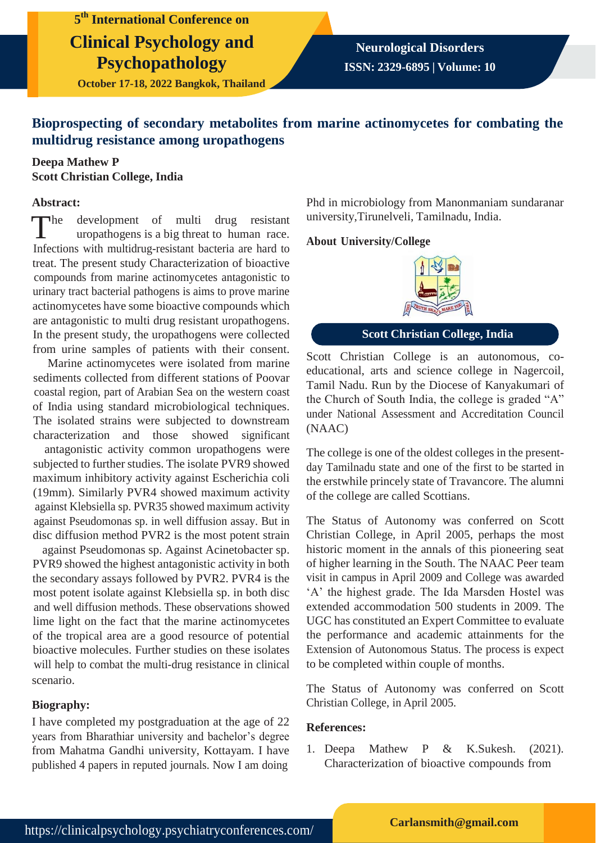**5 th International Conference on Clinical Psychology and Psychopathology**

**October 17-18, 2022 Bangkok, Thailand**

# **Bioprospecting of secondary metabolites from marine actinomycetes for combating the multidrug resistance among uropathogens**

# **Deepa Mathew P Scott Christian College, India**

#### **Abstract:**

 $\n **The**\n$ development of multi drug resistant uropathogens is a big threat to human race. Infections with multidrug-resistant bacteria are hard to treat. The present study Characterization of bioactive compounds from marine actinomycetes antagonistic to urinary tract bacterial pathogens is aims to prove marine actinomycetes have some bioactive compounds which are antagonistic to multi drug resistant uropathogens. In the present study, the uropathogens were collected from urine samples of patients with their consent.

Marine actinomycetes were isolated from marine sediments collected from different stations of Poovar coastal region, part of Arabian Sea on the western coast of India using standard microbiological techniques. The isolated strains were subjected to downstream characterization and those showed significant

antagonistic activity common uropathogens were subjected to further studies. The isolate PVR9 showed maximum inhibitory activity against Escherichia coli (19mm). Similarly PVR4 showed maximum activity against Klebsiella sp. PVR35 showed maximum activity against Pseudomonas sp. in well diffusion assay. But in disc diffusion method PVR2 is the most potent strain

against Pseudomonas sp. Against Acinetobacter sp. PVR9 showed the highest antagonistic activity in both the secondary assays followed by PVR2. PVR4 is the most potent isolate against Klebsiella sp. in both disc and well diffusion methods. These observations showed lime light on the fact that the marine actinomycetes of the tropical area are a good resource of potential bioactive molecules. Further studies on these isolates will help to combat the multi-drug resistance in clinical scenario.

## **Biography:**

I have completed my postgraduation at the age of 22 years from Bharathiar university and bachelor's degree from Mahatma Gandhi university, Kottayam. I have published 4 papers in reputed journals. Now I am doing

Phd in microbiology from Manonmaniam sundaranar university,Tirunelveli, Tamilnadu, India.

#### **About University/College**



**Scott Christian College, India**

Scott Christian College is an autonomous, coeducational, arts and science college in Nagercoil, Tamil Nadu. Run by the Diocese of Kanyakumari of the Church of South India, the college is graded "A" under National Assessment and Accreditation Council (NAAC)

The college is one of the oldest colleges in the presentday Tamilnadu state and one of the first to be started in the erstwhile princely state of Travancore. The alumni of the college are called Scottians.

The Status of Autonomy was conferred on Scott Christian College, in April 2005, perhaps the most historic moment in the annals of this pioneering seat of higher learning in the South. The NAAC Peer team visit in campus in April 2009 and College was awarded 'A' the highest grade. The Ida Marsden Hostel was extended accommodation 500 students in 2009. The UGC has constituted an Expert Committee to evaluate the performance and academic attainments for the Extension of Autonomous Status. The process is expect to be completed within couple of months.

The Status of Autonomy was conferred on Scott Christian College, in April 2005.

## **References:**

1. Deepa Mathew P & K.Sukesh. (2021). Characterization of bioactive compounds from